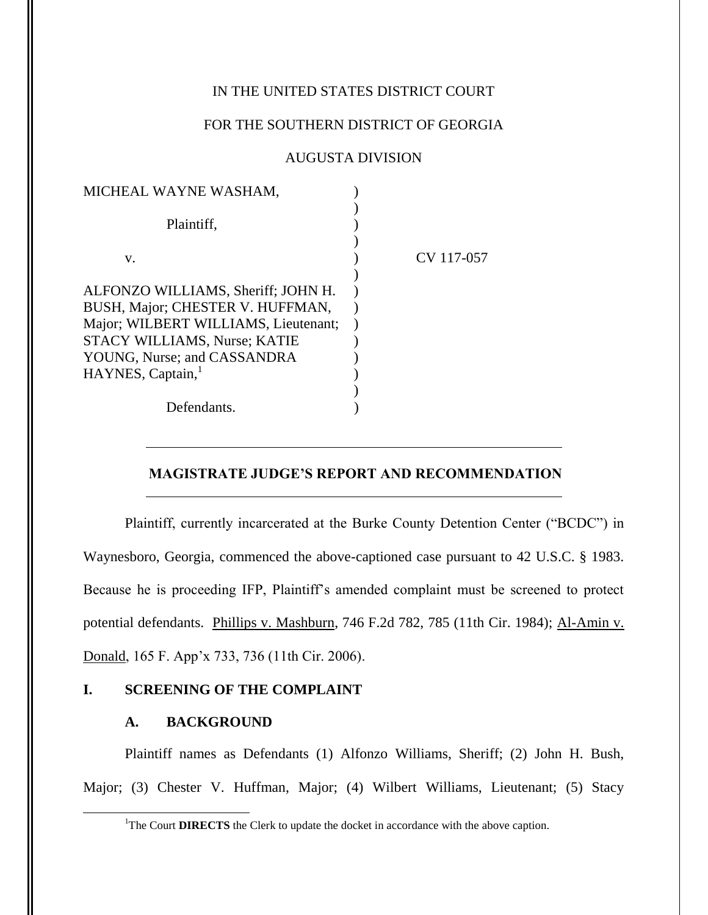# IN THE UNITED STATES DISTRICT COURT

## FOR THE SOUTHERN DISTRICT OF GEORGIA

### AUGUSTA DIVISION

| MICHEAL WAYNE WASHAM,                |            |
|--------------------------------------|------------|
| Plaintiff,                           |            |
|                                      |            |
| V.                                   | CV 117-057 |
|                                      |            |
| ALFONZO WILLIAMS, Sheriff; JOHN H.   |            |
| BUSH, Major; CHESTER V. HUFFMAN,     |            |
| Major; WILBERT WILLIAMS, Lieutenant; |            |
| STACY WILLIAMS, Nurse; KATIE         |            |
| YOUNG, Nurse; and CASSANDRA          |            |
| HAYNES, Captain, <sup>1</sup>        |            |
|                                      |            |
| Defendants.                          |            |

## **MAGISTRATE JUDGE'S REPORT AND RECOMMENDATION**

Plaintiff, currently incarcerated at the Burke County Detention Center ("BCDC") in Waynesboro, Georgia, commenced the above-captioned case pursuant to 42 U.S.C. § 1983. Because he is proceeding IFP, Plaintiff's amended complaint must be screened to protect potential defendants. Phillips v. Mashburn, 746 F.2d 782, 785 (11th Cir. 1984); Al-Amin v. Donald, 165 F. App'x 733, 736 (11th Cir. 2006).

### **I. SCREENING OF THE COMPLAINT**

#### **A. BACKGROUND**

l

Plaintiff names as Defendants (1) Alfonzo Williams, Sheriff; (2) John H. Bush, Major; (3) Chester V. Huffman, Major; (4) Wilbert Williams, Lieutenant; (5) Stacy

<sup>&</sup>lt;sup>1</sup>The Court **DIRECTS** the Clerk to update the docket in accordance with the above caption.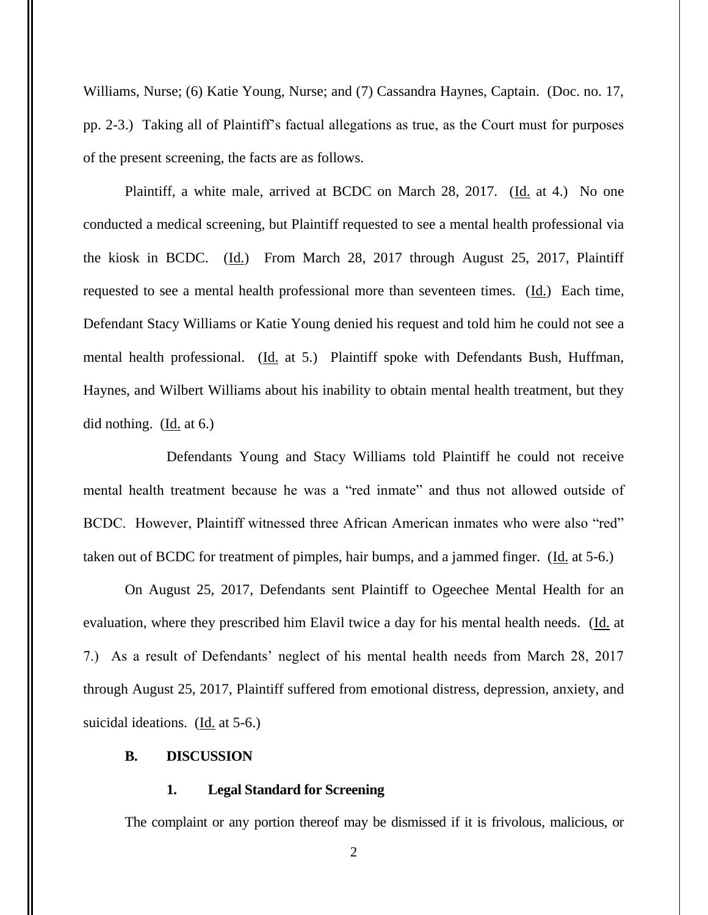Williams, Nurse; (6) Katie Young, Nurse; and (7) Cassandra Haynes, Captain. (Doc. no. 17, pp. 2-3.) Taking all of Plaintiff's factual allegations as true, as the Court must for purposes of the present screening, the facts are as follows.

Plaintiff, a white male, arrived at BCDC on March 28, 2017. (Id. at 4.) No one conducted a medical screening, but Plaintiff requested to see a mental health professional via the kiosk in BCDC. (Id.) From March 28, 2017 through August 25, 2017, Plaintiff requested to see a mental health professional more than seventeen times.  $(\underline{Id})$  Each time, Defendant Stacy Williams or Katie Young denied his request and told him he could not see a mental health professional. (Id. at 5.) Plaintiff spoke with Defendants Bush, Huffman, Haynes, and Wilbert Williams about his inability to obtain mental health treatment, but they did nothing. (Id. at 6.)

Defendants Young and Stacy Williams told Plaintiff he could not receive mental health treatment because he was a "red inmate" and thus not allowed outside of BCDC. However, Plaintiff witnessed three African American inmates who were also "red" taken out of BCDC for treatment of pimples, hair bumps, and a jammed finger. (Id. at 5-6.)

On August 25, 2017, Defendants sent Plaintiff to Ogeechee Mental Health for an evaluation, where they prescribed him Elavil twice a day for his mental health needs. (Id. at 7.) As a result of Defendants' neglect of his mental health needs from March 28, 2017 through August 25, 2017, Plaintiff suffered from emotional distress, depression, anxiety, and suicidal ideations. (Id. at 5-6.)

#### **B. DISCUSSION**

### **1. Legal Standard for Screening**

The complaint or any portion thereof may be dismissed if it is frivolous, malicious, or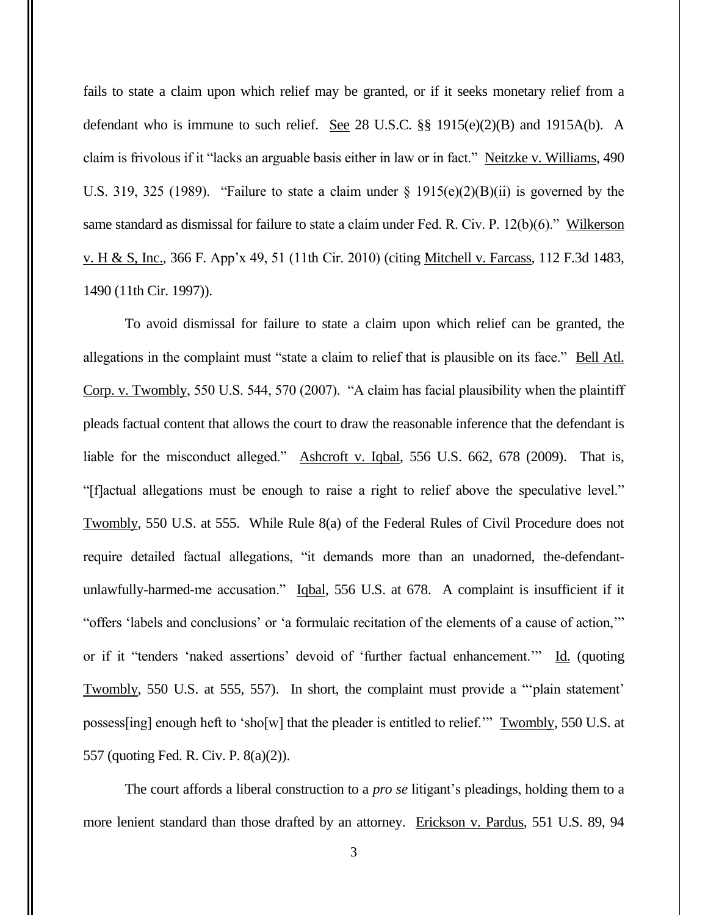fails to state a claim upon which relief may be granted, or if it seeks monetary relief from a defendant who is immune to such relief. See 28 U.S.C. §§ 1915(e)(2)(B) and 1915A(b). A claim is frivolous if it "lacks an arguable basis either in law or in fact." Neitzke v. Williams, 490 U.S. 319, 325 (1989). "Failure to state a claim under  $\S$  1915(e)(2)(B)(ii) is governed by the same standard as dismissal for failure to state a claim under Fed. R. Civ. P. 12(b)(6)." Wilkerson v. H & S, Inc., 366 F. App'x 49, 51 (11th Cir. 2010) (citing Mitchell v. Farcass, 112 F.3d 1483, 1490 (11th Cir. 1997)).

To avoid dismissal for failure to state a claim upon which relief can be granted, the allegations in the complaint must "state a claim to relief that is plausible on its face." Bell Atl. Corp. v. Twombly, 550 U.S. 544, 570 (2007). "A claim has facial plausibility when the plaintiff pleads factual content that allows the court to draw the reasonable inference that the defendant is liable for the misconduct alleged." Ashcroft v. Iqbal, 556 U.S. 662, 678 (2009). That is, "[f]actual allegations must be enough to raise a right to relief above the speculative level." Twombly, 550 U.S. at 555. While Rule 8(a) of the Federal Rules of Civil Procedure does not require detailed factual allegations, "it demands more than an unadorned, the-defendantunlawfully-harmed-me accusation." Iqbal, 556 U.S. at 678. A complaint is insufficient if it "offers 'labels and conclusions' or 'a formulaic recitation of the elements of a cause of action,'" or if it "tenders 'naked assertions' devoid of 'further factual enhancement.'" Id. (quoting Twombly, 550 U.S. at 555, 557). In short, the complaint must provide a "'plain statement' possess[ing] enough heft to 'sho[w] that the pleader is entitled to relief.'" Twombly, 550 U.S. at 557 (quoting Fed. R. Civ. P. 8(a)(2)).

The court affords a liberal construction to a *pro se* litigant's pleadings, holding them to a more lenient standard than those drafted by an attorney. Erickson v. Pardus, 551 U.S. 89, 94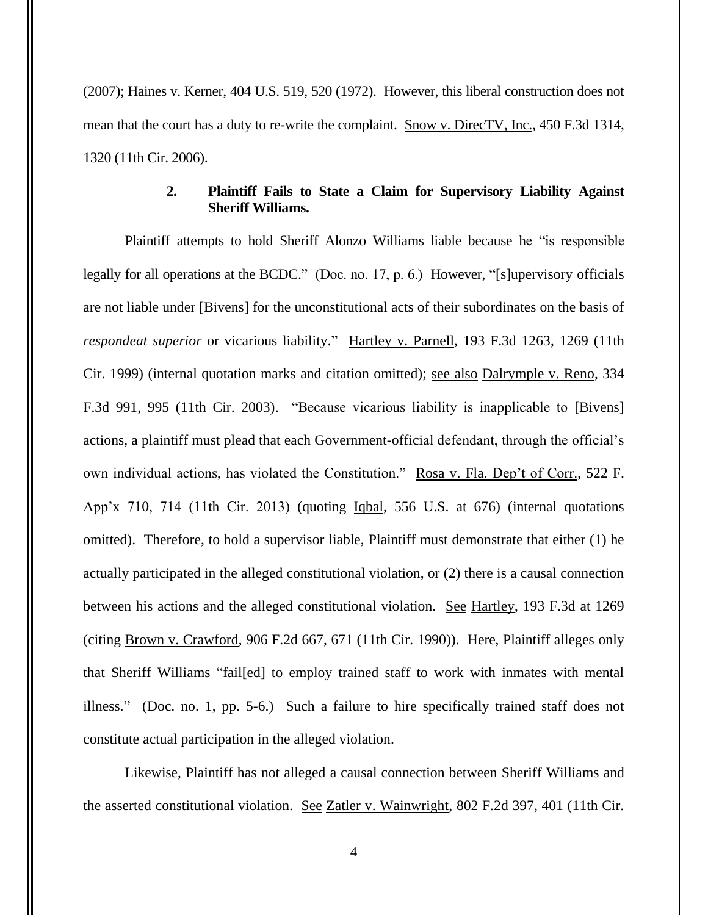(2007); Haines v. Kerner, 404 U.S. 519, 520 (1972). However, this liberal construction does not mean that the court has a duty to re-write the complaint. Snow v. DirecTV, Inc., 450 F.3d 1314, 1320 (11th Cir. 2006).

# **2. Plaintiff Fails to State a Claim for Supervisory Liability Against Sheriff Williams.**

Plaintiff attempts to hold Sheriff Alonzo Williams liable because he "is responsible legally for all operations at the BCDC." (Doc. no. 17, p. 6.) However, "[s]upervisory officials are not liable under [Bivens] for the unconstitutional acts of their subordinates on the basis of *respondeat superior* or vicarious liability." Hartley v. Parnell, 193 F.3d 1263, 1269 (11th Cir. 1999) (internal quotation marks and citation omitted); see also Dalrymple v. Reno, 334 F.3d 991, 995 (11th Cir. 2003). "Because vicarious liability is inapplicable to [Bivens] actions, a plaintiff must plead that each Government-official defendant, through the official's own individual actions, has violated the Constitution." Rosa v. Fla. Dep't of Corr., 522 F. App'x 710, 714 (11th Cir. 2013) (quoting Iqbal, 556 U.S. at 676) (internal quotations omitted). Therefore, to hold a supervisor liable, Plaintiff must demonstrate that either (1) he actually participated in the alleged constitutional violation, or (2) there is a causal connection between his actions and the alleged constitutional violation. See Hartley, 193 F.3d at 1269 (citing Brown v. Crawford, 906 F.2d 667, 671 (11th Cir. 1990)). Here, Plaintiff alleges only that Sheriff Williams "fail[ed] to employ trained staff to work with inmates with mental illness." (Doc. no. 1, pp. 5-6.) Such a failure to hire specifically trained staff does not constitute actual participation in the alleged violation.

Likewise, Plaintiff has not alleged a causal connection between Sheriff Williams and the asserted constitutional violation. See Zatler v. Wainwright, 802 F.2d 397, 401 (11th Cir.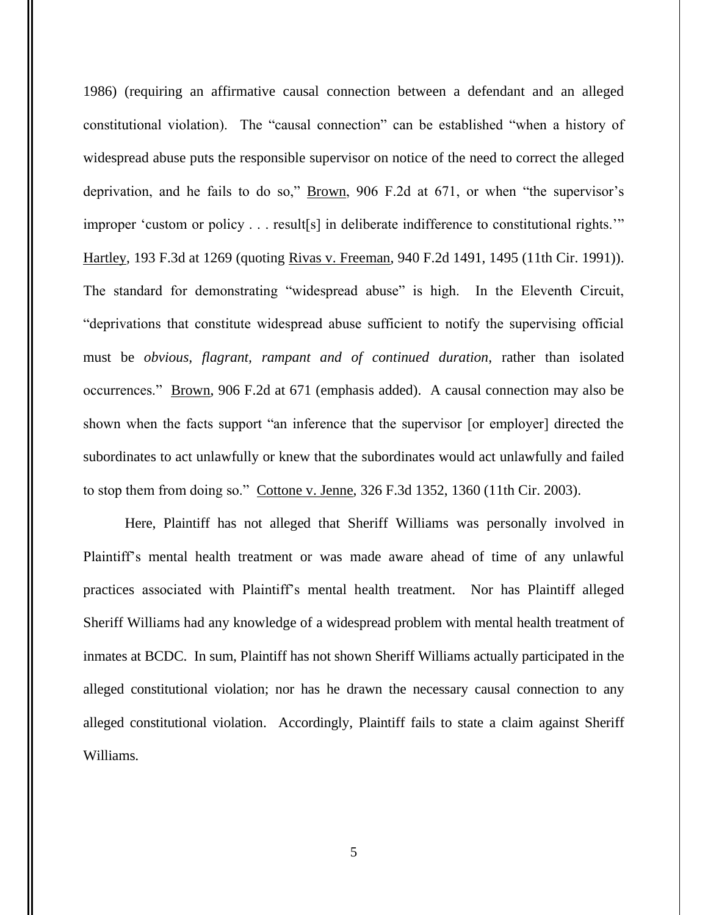1986) (requiring an affirmative causal connection between a defendant and an alleged constitutional violation). The "causal connection" can be established "when a history of widespread abuse puts the responsible supervisor on notice of the need to correct the alleged deprivation, and he fails to do so," Brown, 906 F.2d at 671, or when "the supervisor's improper 'custom or policy . . . result[s] in deliberate indifference to constitutional rights.'" Hartley, 193 F.3d at 1269 (quoting Rivas v. Freeman, 940 F.2d 1491, 1495 (11th Cir. 1991)). The standard for demonstrating "widespread abuse" is high. In the Eleventh Circuit, "deprivations that constitute widespread abuse sufficient to notify the supervising official must be *obvious, flagrant, rampant and of continued duration*, rather than isolated occurrences." Brown, 906 F.2d at 671 (emphasis added). A causal connection may also be shown when the facts support "an inference that the supervisor [or employer] directed the subordinates to act unlawfully or knew that the subordinates would act unlawfully and failed to stop them from doing so." Cottone v. Jenne, 326 F.3d 1352, 1360 (11th Cir. 2003).

Here, Plaintiff has not alleged that Sheriff Williams was personally involved in Plaintiff's mental health treatment or was made aware ahead of time of any unlawful practices associated with Plaintiff's mental health treatment. Nor has Plaintiff alleged Sheriff Williams had any knowledge of a widespread problem with mental health treatment of inmates at BCDC. In sum, Plaintiff has not shown Sheriff Williams actually participated in the alleged constitutional violation; nor has he drawn the necessary causal connection to any alleged constitutional violation. Accordingly, Plaintiff fails to state a claim against Sheriff Williams.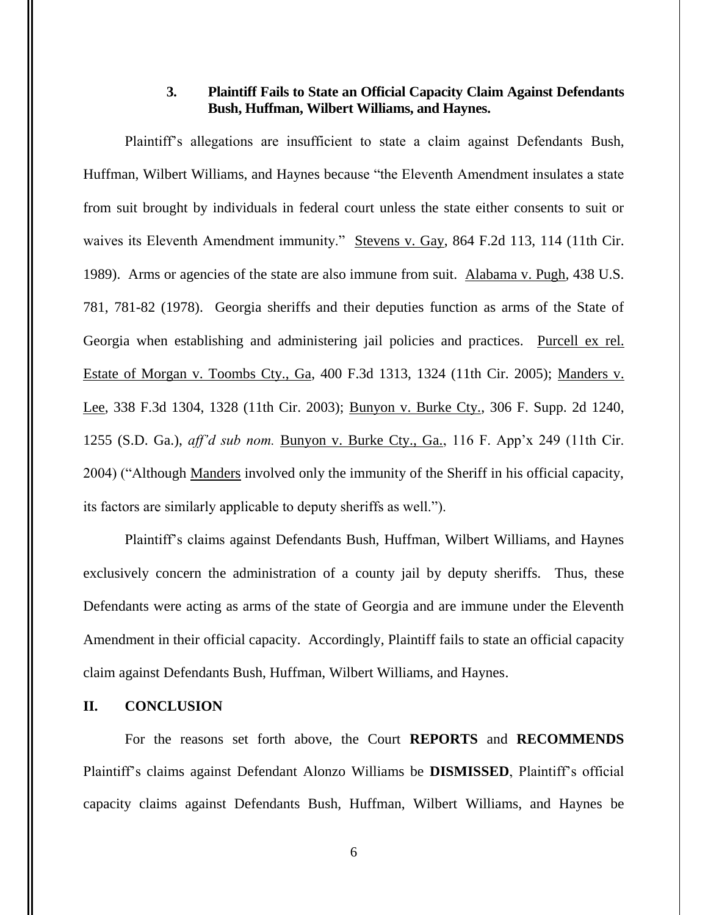# **3. Plaintiff Fails to State an Official Capacity Claim Against Defendants Bush, Huffman, Wilbert Williams, and Haynes.**

Plaintiff's allegations are insufficient to state a claim against Defendants Bush, Huffman, Wilbert Williams, and Haynes because "the Eleventh Amendment insulates a state from suit brought by individuals in federal court unless the state either consents to suit or waives its Eleventh Amendment immunity." Stevens v. Gay, 864 F.2d 113, 114 (11th Cir. 1989). Arms or agencies of the state are also immune from suit. Alabama v. Pugh*,* 438 U.S. 781, 781-82 (1978). Georgia sheriffs and their deputies function as arms of the State of Georgia when establishing and administering jail policies and practices. Purcell ex rel. Estate of Morgan v. Toombs Cty., Ga, 400 F.3d 1313, 1324 (11th Cir. 2005); Manders v. Lee, 338 F.3d 1304, 1328 (11th Cir. 2003); Bunyon v. Burke Cty., 306 F. Supp. 2d 1240, 1255 (S.D. Ga.), *aff'd sub nom.* Bunyon v. Burke Cty., Ga., 116 F. App'x 249 (11th Cir. 2004) ("Although Manders involved only the immunity of the Sheriff in his official capacity, its factors are similarly applicable to deputy sheriffs as well.").

Plaintiff's claims against Defendants Bush, Huffman, Wilbert Williams, and Haynes exclusively concern the administration of a county jail by deputy sheriffs. Thus, these Defendants were acting as arms of the state of Georgia and are immune under the Eleventh Amendment in their official capacity. Accordingly, Plaintiff fails to state an official capacity claim against Defendants Bush, Huffman, Wilbert Williams, and Haynes.

### **II. CONCLUSION**

For the reasons set forth above, the Court **REPORTS** and **RECOMMENDS** Plaintiff's claims against Defendant Alonzo Williams be **DISMISSED**, Plaintiff's official capacity claims against Defendants Bush, Huffman, Wilbert Williams, and Haynes be